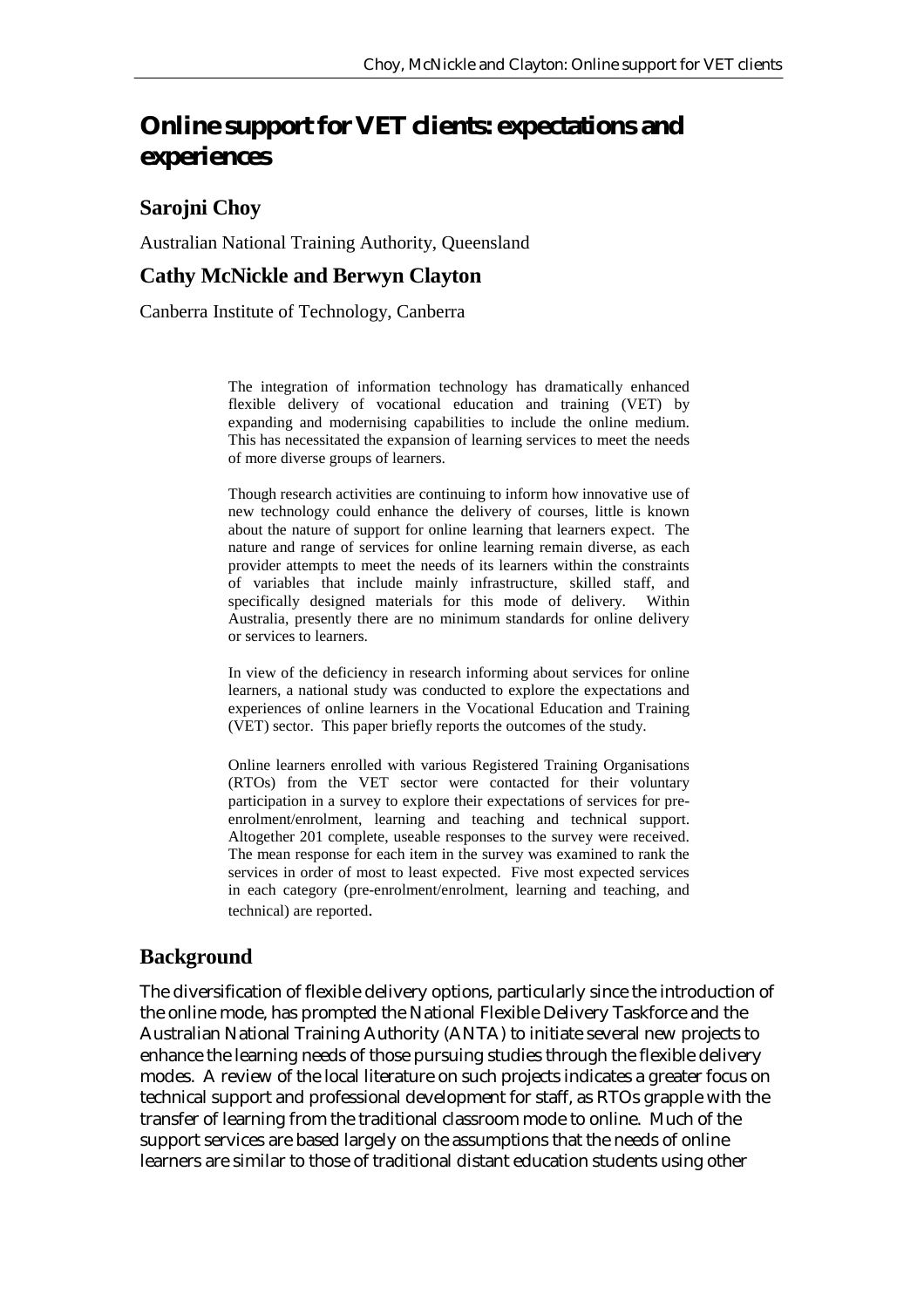# **Online support for VET clients: expectations and experiences**

## **Sarojni Choy**

Australian National Training Authority, Queensland

#### **Cathy McNickle and Berwyn Clayton**

Canberra Institute of Technology, Canberra

The integration of information technology has dramatically enhanced flexible delivery of vocational education and training (VET) by expanding and modernising capabilities to include the online medium. This has necessitated the expansion of learning services to meet the needs of more diverse groups of learners.

Though research activities are continuing to inform how innovative use of new technology could enhance the delivery of courses, little is known about the nature of support for online learning that learners expect. The nature and range of services for online learning remain diverse, as each provider attempts to meet the needs of its learners within the constraints of variables that include mainly infrastructure, skilled staff, and specifically designed materials for this mode of delivery. Within Australia, presently there are no minimum standards for online delivery or services to learners.

In view of the deficiency in research informing about services for online learners, a national study was conducted to explore the expectations and experiences of online learners in the Vocational Education and Training (VET) sector. This paper briefly reports the outcomes of the study.

Online learners enrolled with various Registered Training Organisations (RTOs) from the VET sector were contacted for their voluntary participation in a survey to explore their expectations of services for preenrolment/enrolment, learning and teaching and technical support. Altogether 201 complete, useable responses to the survey were received. The mean response for each item in the survey was examined to rank the services in order of most to least expected. Five most expected services in each category (pre-enrolment/enrolment, learning and teaching, and technical) are reported.

## **Background**

The diversification of flexible delivery options, particularly since the introduction of the online mode, has prompted the National Flexible Delivery Taskforce and the Australian National Training Authority (ANTA) to initiate several new projects to enhance the learning needs of those pursuing studies through the flexible delivery modes. A review of the local literature on such projects indicates a greater focus on technical support and professional development for staff, as RTOs grapple with the transfer of learning from the traditional classroom mode to online. Much of the support services are based largely on the assumptions that the needs of online learners are similar to those of traditional distant education students using other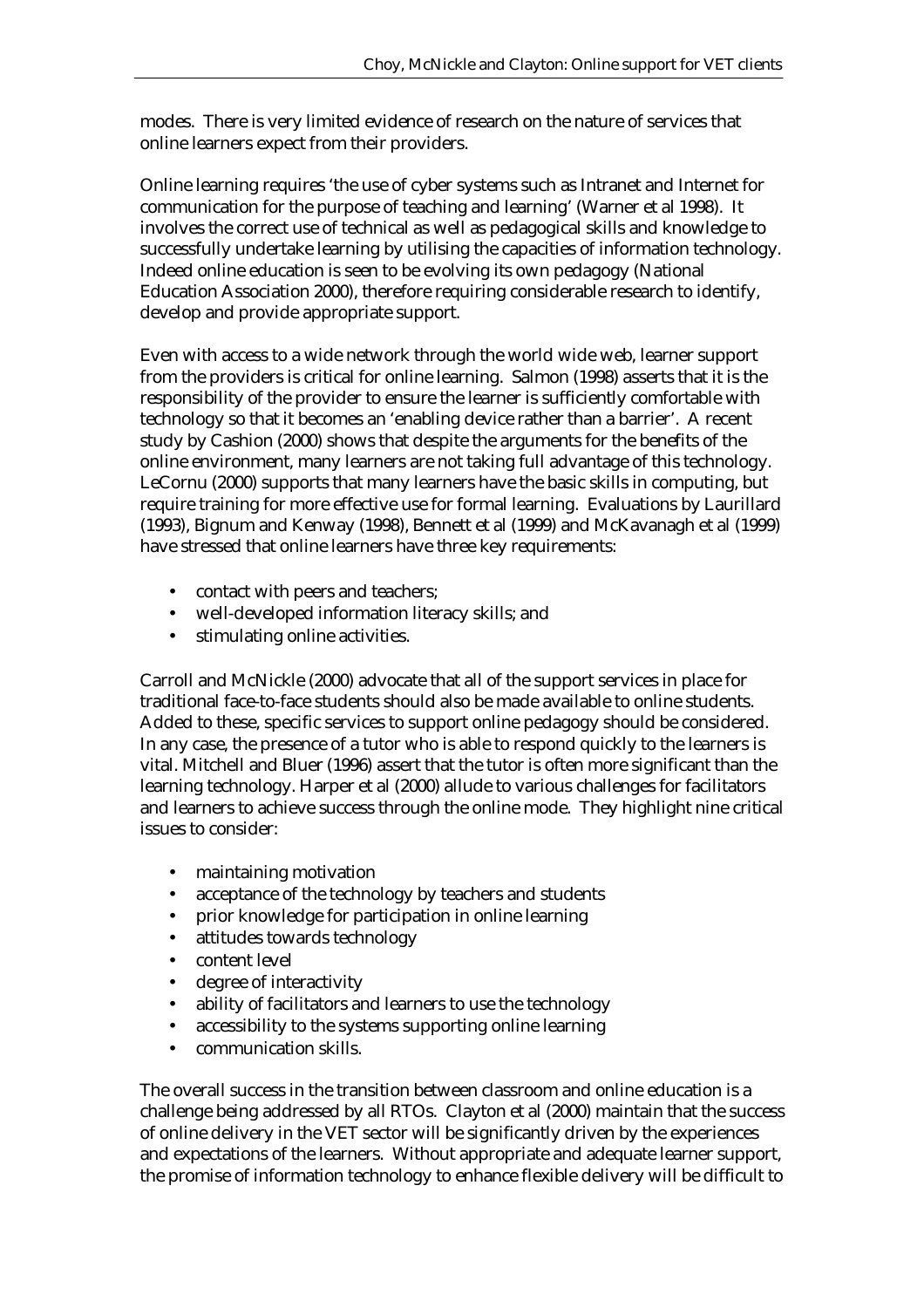modes. There is very limited evidence of research on the nature of services that online learners expect from their providers.

Online learning requires 'the use of cyber systems such as Intranet and Internet for communication for the purpose of teaching and learning' (Warner et al 1998). It involves the correct use of technical as well as pedagogical skills and knowledge to successfully undertake learning by utilising the capacities of information technology. Indeed online education is seen to be evolving its own pedagogy (National Education Association 2000), therefore requiring considerable research to identify, develop and provide appropriate support.

Even with access to a wide network through the world wide web, learner support from the providers is critical for online learning. Salmon (1998) asserts that it is the responsibility of the provider to ensure the learner is sufficiently comfortable with technology so that it becomes an 'enabling device rather than a barrier'. A recent study by Cashion (2000) shows that despite the arguments for the benefits of the online environment, many learners are not taking full advantage of this technology. LeCornu (2000) supports that many learners have the basic skills in computing, but require training for more effective use for formal learning. Evaluations by Laurillard (1993), Bignum and Kenway (1998), Bennett et al (1999) and McKavanagh et al (1999) have stressed that online learners have three key requirements:

- contact with peers and teachers:
- well-developed information literacy skills; and
- stimulating online activities.

Carroll and McNickle (2000) advocate that all of the support services in place for traditional face-to-face students should also be made available to online students. Added to these, specific services to support online pedagogy should be considered. In any case, the presence of a tutor who is able to respond quickly to the learners is vital. Mitchell and Bluer (1996) assert that the tutor is often more significant than the learning technology. Harper et al (2000) allude to various challenges for facilitators and learners to achieve success through the online mode. They highlight nine critical issues to consider:

- maintaining motivation
- acceptance of the technology by teachers and students
- prior knowledge for participation in online learning
- attitudes towards technology
- content level
- degree of interactivity
- ability of facilitators and learners to use the technology
- accessibility to the systems supporting online learning
- communication skills.

The overall success in the transition between classroom and online education is a challenge being addressed by all RTOs. Clayton et al (2000) maintain that the success of online delivery in the VET sector will be significantly driven by the experiences and expectations of the learners. Without appropriate and adequate learner support, the promise of information technology to enhance flexible delivery will be difficult to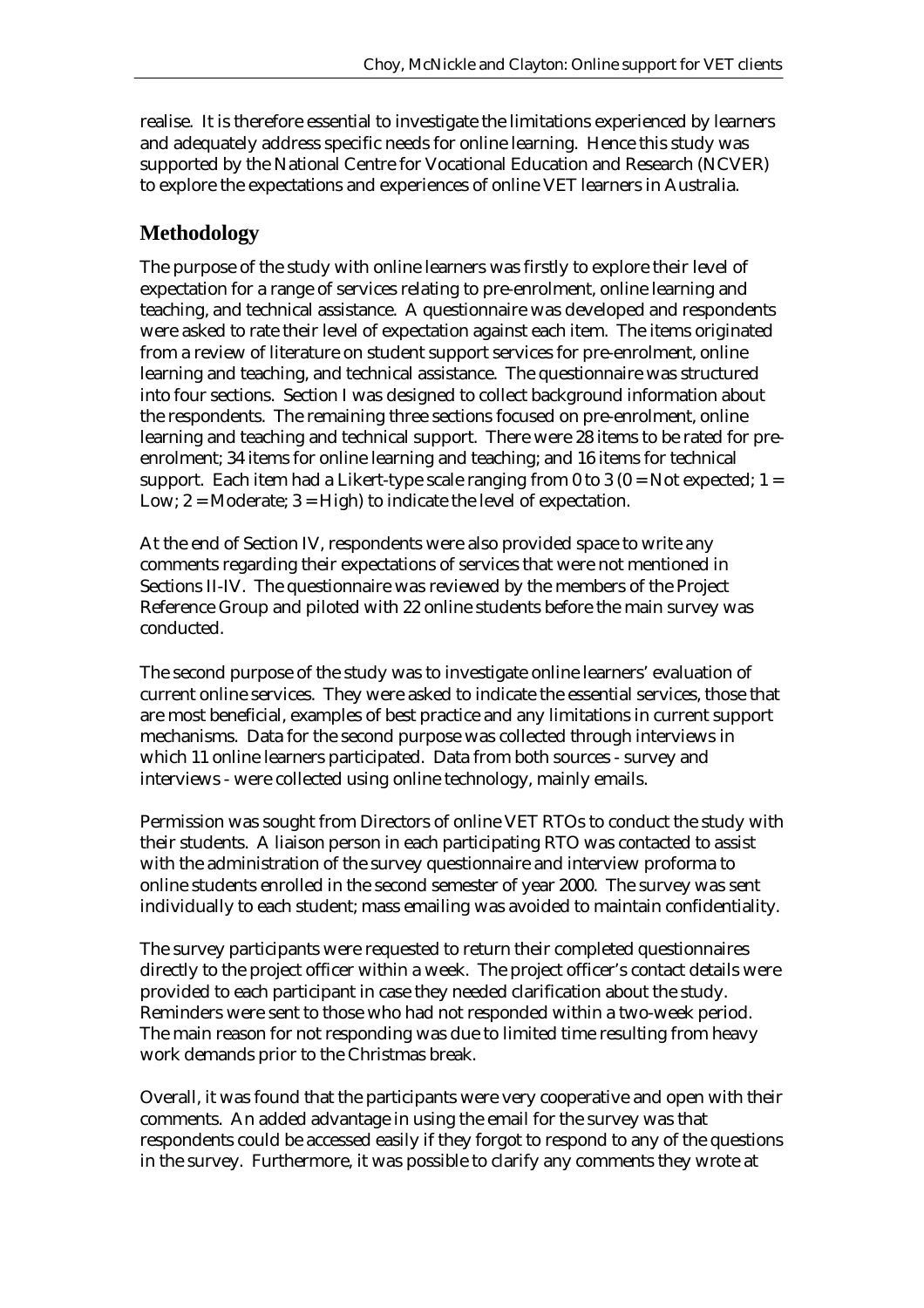realise. It is therefore essential to investigate the limitations experienced by learners and adequately address specific needs for online learning. Hence this study was supported by the National Centre for Vocational Education and Research (NCVER) to explore the expectations and experiences of online VET learners in Australia.

# **Methodology**

The purpose of the study with online learners was firstly to explore their level of expectation for a range of services relating to pre-enrolment, online learning and teaching, and technical assistance. A questionnaire was developed and respondents were asked to rate their level of expectation against each item. The items originated from a review of literature on student support services for pre-enrolment, online learning and teaching, and technical assistance. The questionnaire was structured into four sections. Section I was designed to collect background information about the respondents. The remaining three sections focused on pre-enrolment, online learning and teaching and technical support. There were 28 items to be rated for preenrolment; 34 items for online learning and teaching; and 16 items for technical support. Each item had a Likert-type scale ranging from 0 to 3  $(0 = Not$  expected;  $1 =$ Low;  $2 =$  Moderate;  $3 =$  High) to indicate the level of expectation.

At the end of Section IV, respondents were also provided space to write any comments regarding their expectations of services that were not mentioned in Sections II-IV. The questionnaire was reviewed by the members of the Project Reference Group and piloted with 22 online students before the main survey was conducted.

The second purpose of the study was to investigate online learners' evaluation of current online services. They were asked to indicate the essential services, those that are most beneficial, examples of best practice and any limitations in current support mechanisms. Data for the second purpose was collected through interviews in which 11 online learners participated. Data from both sources - survey and interviews - were collected using online technology, mainly emails.

Permission was sought from Directors of online VET RTOs to conduct the study with their students. A liaison person in each participating RTO was contacted to assist with the administration of the survey questionnaire and interview proforma to online students enrolled in the second semester of year 2000. The survey was sent individually to each student; mass emailing was avoided to maintain confidentiality.

The survey participants were requested to return their completed questionnaires directly to the project officer within a week. The project officer's contact details were provided to each participant in case they needed clarification about the study. Reminders were sent to those who had not responded within a two-week period. The main reason for not responding was due to limited time resulting from heavy work demands prior to the Christmas break.

Overall, it was found that the participants were very cooperative and open with their comments. An added advantage in using the email for the survey was that respondents could be accessed easily if they forgot to respond to any of the questions in the survey. Furthermore, it was possible to clarify any comments they wrote at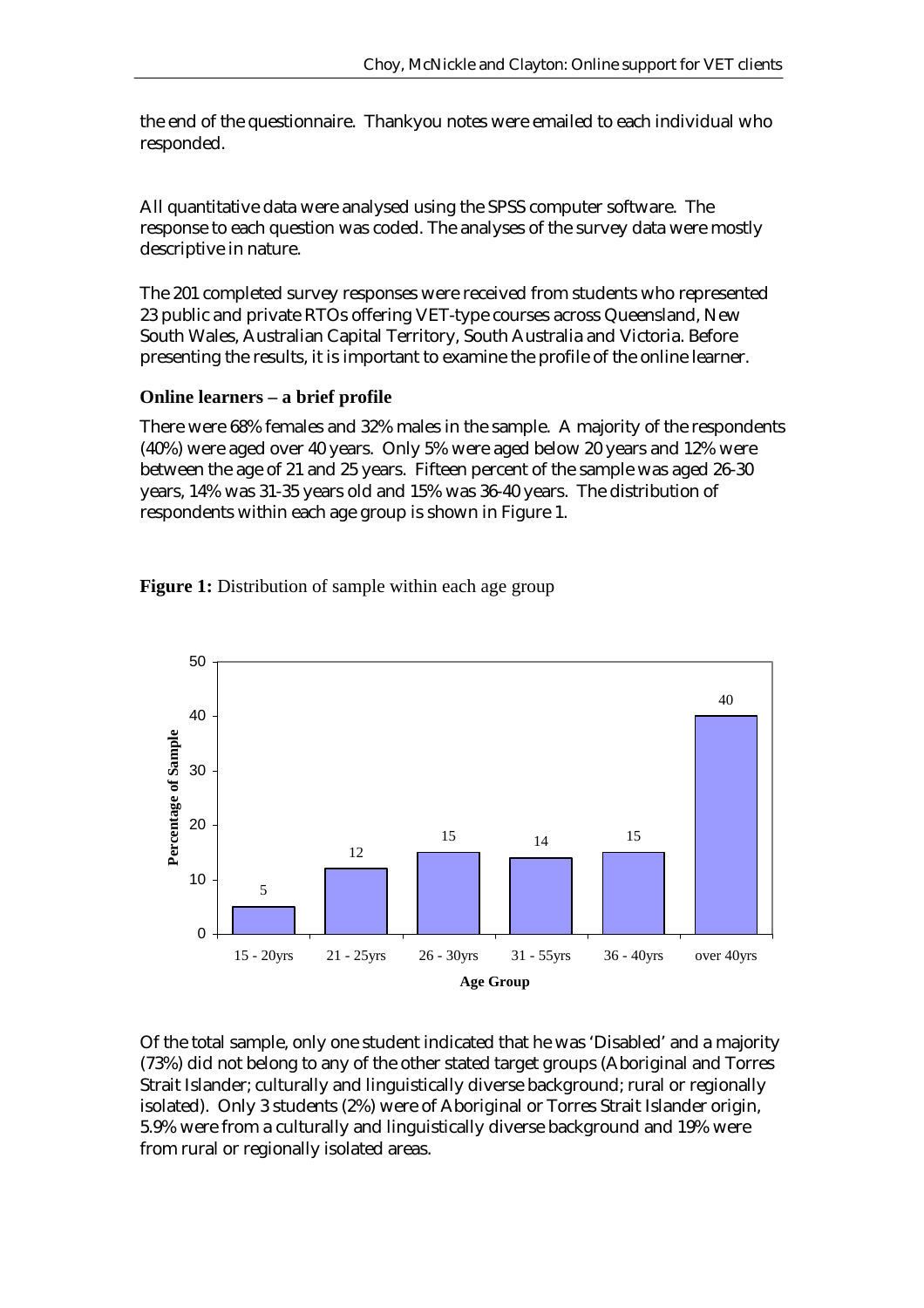the end of the questionnaire. Thankyou notes were emailed to each individual who responded.

All quantitative data were analysed using the SPSS computer software. The response to each question was coded. The analyses of the survey data were mostly descriptive in nature.

The 201 completed survey responses were received from students who represented 23 public and private RTOs offering VET-type courses across Queensland, New South Wales, Australian Capital Territory, South Australia and Victoria. Before presenting the results, it is important to examine the profile of the online learner.

## **Online learners – a brief profile**

There were 68% females and 32% males in the sample. A majority of the respondents (40%) were aged over 40 years. Only 5% were aged below 20 years and 12% were between the age of 21 and 25 years. Fifteen percent of the sample was aged 26-30 years, 14% was 31-35 years old and 15% was 36-40 years. The distribution of respondents within each age group is shown in Figure 1.



**Figure 1:** Distribution of sample within each age group

Of the total sample, only one student indicated that he was 'Disabled' and a majority (73%) did not belong to any of the other stated target groups (Aboriginal and Torres Strait Islander; culturally and linguistically diverse background; rural or regionally isolated). Only 3 students (2%) were of Aboriginal or Torres Strait Islander origin, 5.9% were from a culturally and linguistically diverse background and 19% were from rural or regionally isolated areas.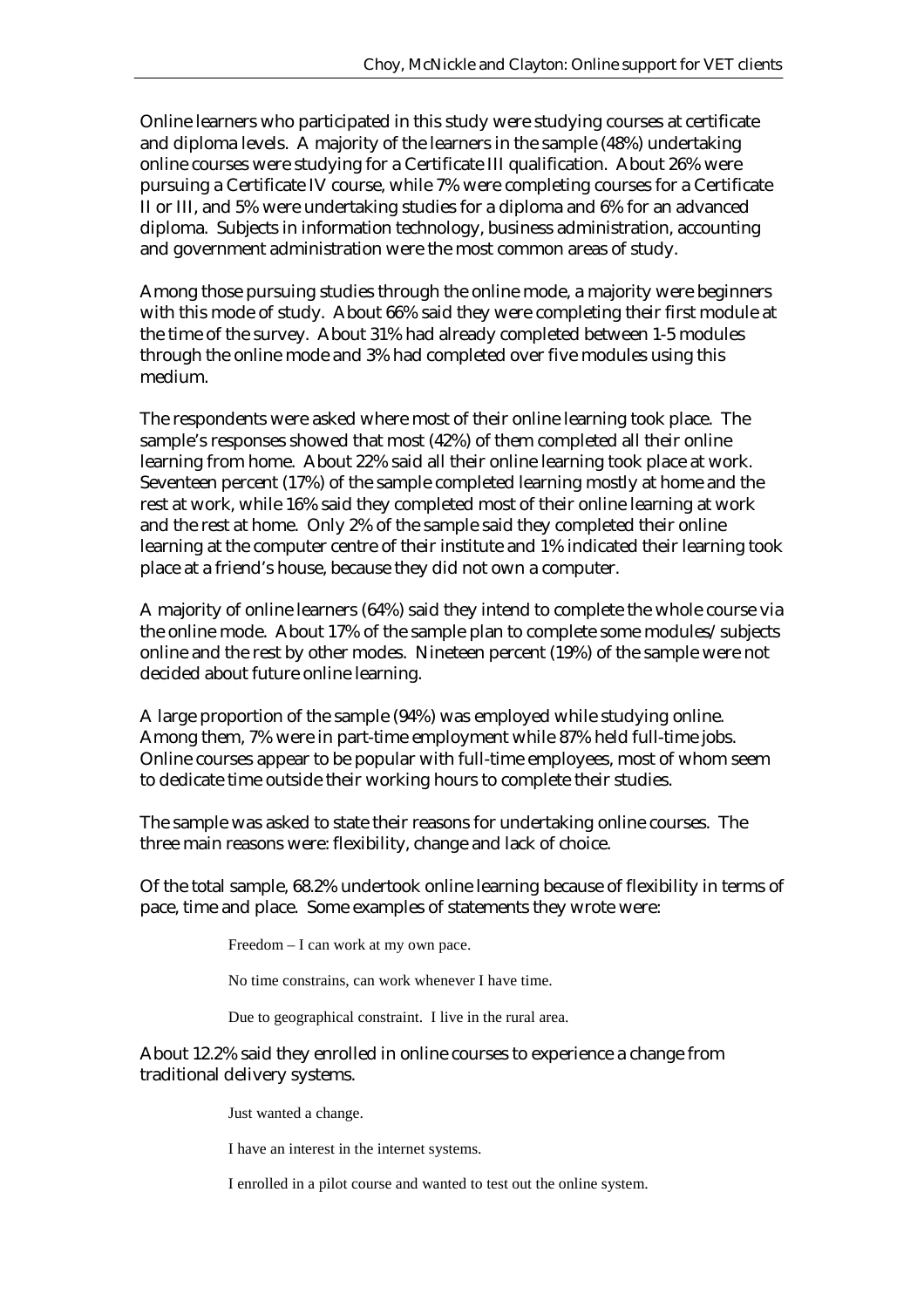Online learners who participated in this study were studying courses at certificate and diploma levels. A majority of the learners in the sample (48%) undertaking online courses were studying for a Certificate III qualification. About 26% were pursuing a Certificate IV course, while 7% were completing courses for a Certificate II or III, and 5% were undertaking studies for a diploma and 6% for an advanced diploma. Subjects in information technology, business administration, accounting and government administration were the most common areas of study.

Among those pursuing studies through the online mode, a majority were beginners with this mode of study. About 66% said they were completing their first module at the time of the survey. About 31% had already completed between 1-5 modules through the online mode and 3% had completed over five modules using this medium.

The respondents were asked where most of their online learning took place. The sample's responses showed that most (42%) of them completed all their online learning from home. About 22% said all their online learning took place at work. Seventeen percent (17%) of the sample completed learning mostly at home and the rest at work, while 16% said they completed most of their online learning at work and the rest at home. Only 2% of the sample said they completed their online learning at the computer centre of their institute and 1% indicated their learning took place at a friend's house, because they did not own a computer.

A majority of online learners (64%) said they intend to complete the whole course via the online mode. About 17% of the sample plan to complete some modules/subjects online and the rest by other modes. Nineteen percent (19%) of the sample were not decided about future online learning.

A large proportion of the sample (94%) was employed while studying online. Among them, 7% were in part-time employment while 87% held full-time jobs. Online courses appear to be popular with full-time employees, most of whom seem to dedicate time outside their working hours to complete their studies.

The sample was asked to state their reasons for undertaking online courses. The three main reasons were: flexibility, change and lack of choice.

Of the total sample, 68.2% undertook online learning because of flexibility in terms of pace, time and place. Some examples of statements they wrote were:

Freedom – I can work at my own pace.

No time constrains, can work whenever I have time.

Due to geographical constraint. I live in the rural area.

About 12.2% said they enrolled in online courses to experience a change from traditional delivery systems.

Just wanted a change.

I have an interest in the internet systems.

I enrolled in a pilot course and wanted to test out the online system.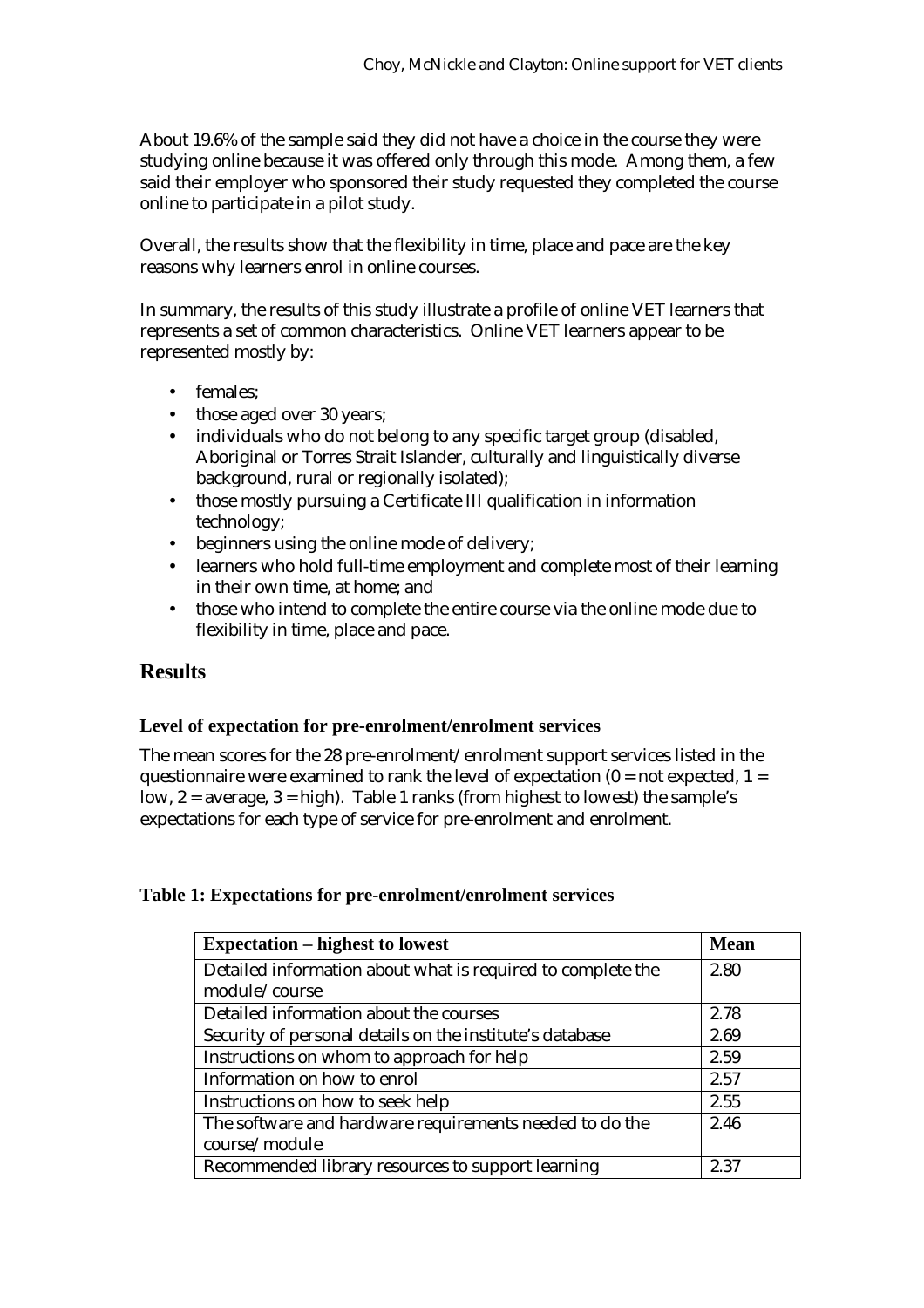About 19.6% of the sample said they did not have a choice in the course they were studying online because it was offered only through this mode. Among them, a few said their employer who sponsored their study requested they completed the course online to participate in a pilot study.

Overall, the results show that the flexibility in time, place and pace are the key reasons why learners enrol in online courses.

In summary, the results of this study illustrate a profile of online VET learners that represents a set of common characteristics. Online VET learners appear to be represented mostly by:

- females:
- those aged over 30 years;
- individuals who do not belong to any specific target group (disabled, Aboriginal or Torres Strait Islander, culturally and linguistically diverse background, rural or regionally isolated);
- those mostly pursuing a Certificate III qualification in information technology;
- beginners using the online mode of delivery;
- learners who hold full-time employment and complete most of their learning in their own time, at home; and
- those who intend to complete the entire course via the online mode due to flexibility in time, place and pace.

## **Results**

#### **Level of expectation for pre-enrolment/enrolment services**

The mean scores for the 28 pre-enrolment/enrolment support services listed in the questionnaire were examined to rank the level of expectation  $(0 = not expected, 1 =$ low, 2 = average, 3 = high). Table 1 ranks (from highest to lowest) the sample's expectations for each type of service for pre-enrolment and enrolment.

#### **Table 1: Expectations for pre-enrolment/enrolment services**

| <b>Expectation – highest to lowest</b>                      | <b>Mean</b> |
|-------------------------------------------------------------|-------------|
| Detailed information about what is required to complete the | 2.80        |
| module/course                                               |             |
| Detailed information about the courses                      | 2.78        |
| Security of personal details on the institute's database    | 2.69        |
| Instructions on whom to approach for help                   | 2.59        |
| Information on how to enrol                                 | 2.57        |
| Instructions on how to seek help                            | 2.55        |
| The software and hardware requirements needed to do the     | 2.46        |
| course/module                                               |             |
| Recommended library resources to support learning           | 2.37        |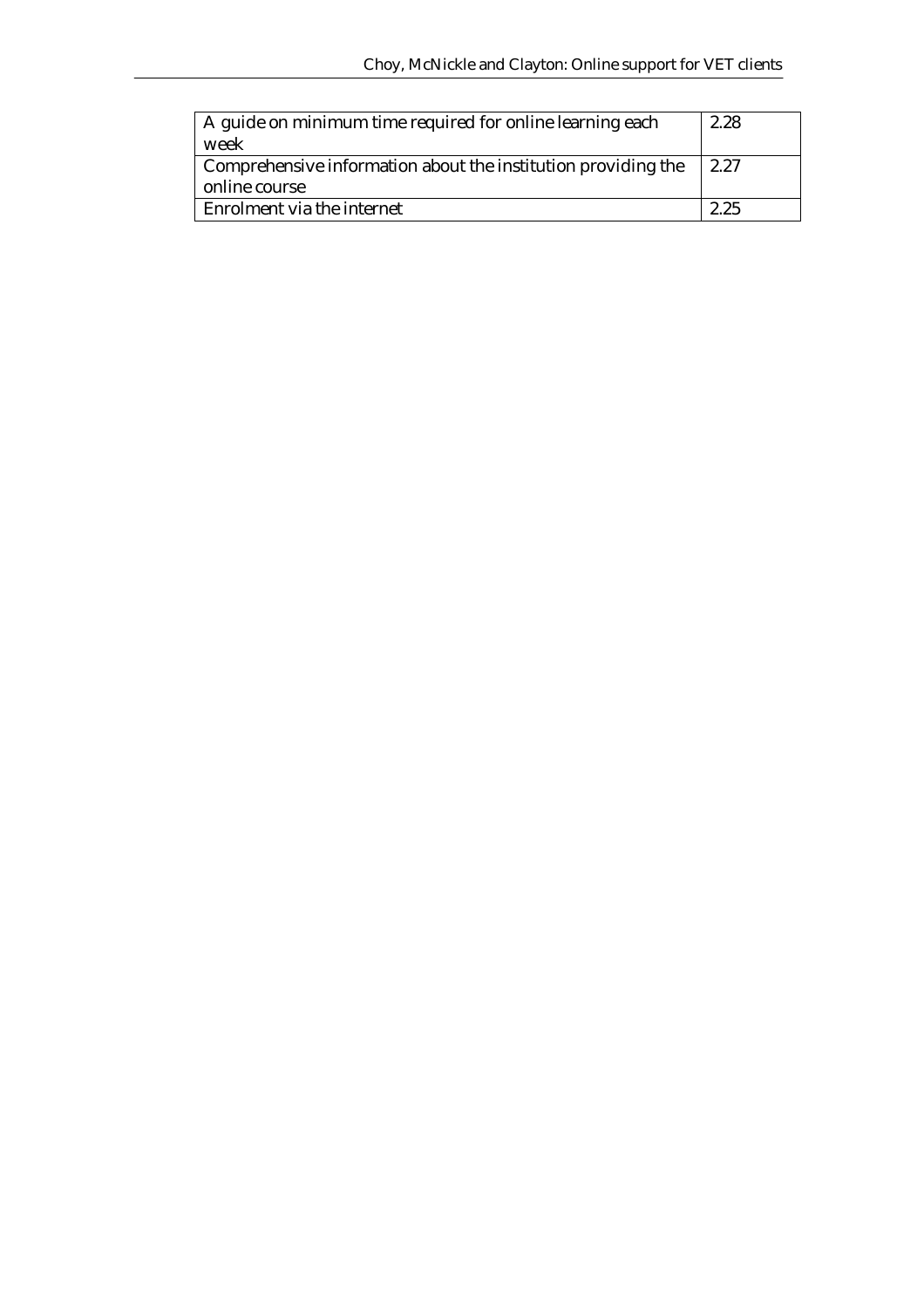| A guide on minimum time required for online learning each<br>week | 2.28 |
|-------------------------------------------------------------------|------|
| Comprehensive information about the institution providing the     | 2.27 |
| online course                                                     |      |
| Enrolment via the internet                                        | 2.25 |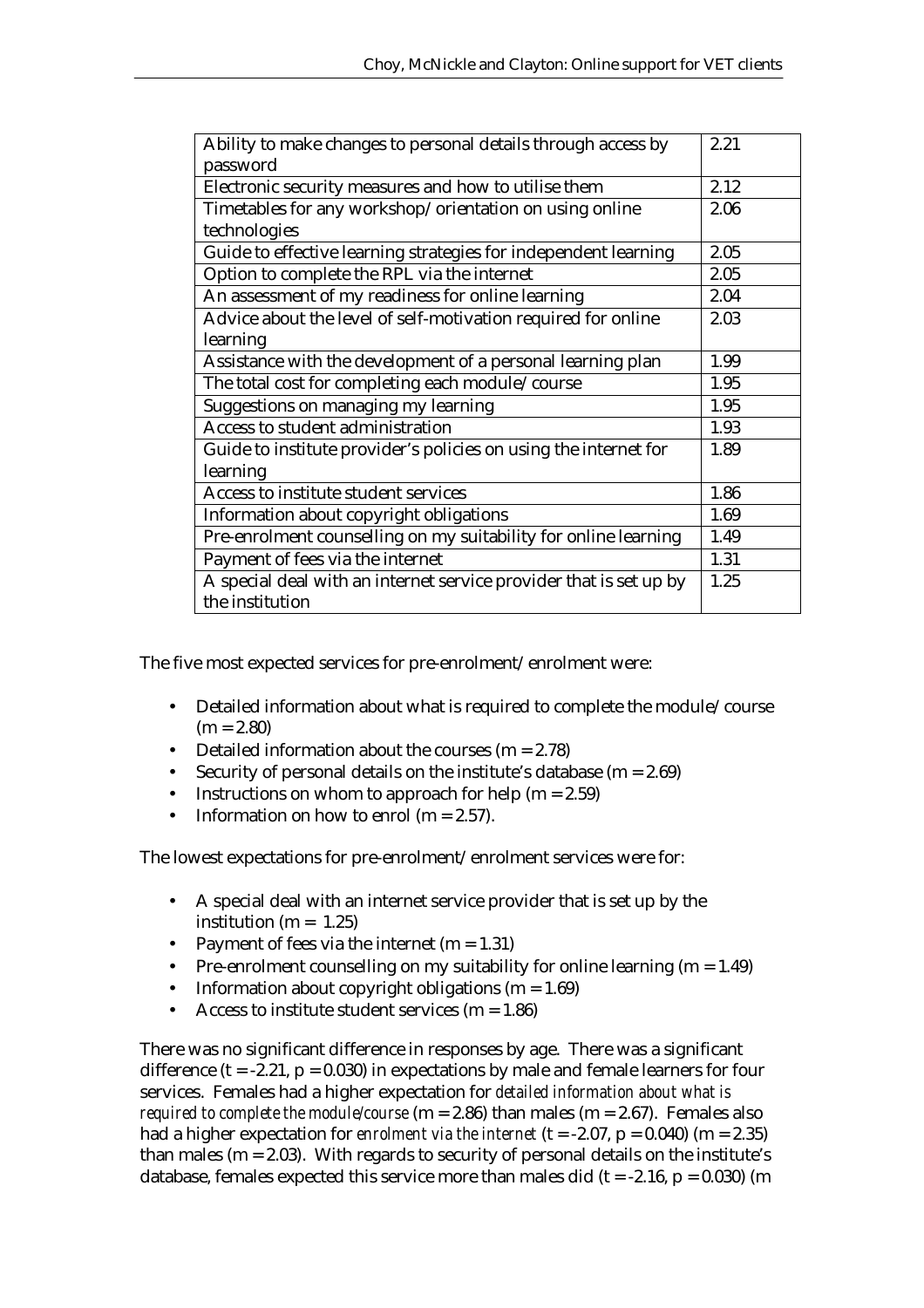| Ability to make changes to personal details through access by      | 2.21 |
|--------------------------------------------------------------------|------|
| password                                                           |      |
| Electronic security measures and how to utilise them               | 2.12 |
| Timetables for any workshop/orientation on using online            | 2.06 |
| technologies                                                       |      |
| Guide to effective learning strategies for independent learning    | 2.05 |
| Option to complete the RPL via the internet                        | 2.05 |
| An assessment of my readiness for online learning                  | 2.04 |
| Advice about the level of self-motivation required for online      | 2.03 |
| learning                                                           |      |
| Assistance with the development of a personal learning plan        | 1.99 |
| The total cost for completing each module/course                   | 1.95 |
| Suggestions on managing my learning                                | 1.95 |
| Access to student administration                                   | 1.93 |
| Guide to institute provider's policies on using the internet for   | 1.89 |
| learning                                                           |      |
| Access to institute student services                               | 1.86 |
| Information about copyright obligations                            | 1.69 |
| Pre-enrolment counselling on my suitability for online learning    | 1.49 |
| Payment of fees via the internet                                   | 1.31 |
| A special deal with an internet service provider that is set up by | 1.25 |
| the institution                                                    |      |

The five most expected services for pre-enrolment/enrolment were:

- Detailed information about what is required to complete the module/course  $(m = 2.80)$
- Detailed information about the courses  $(m = 2.78)$
- Security of personal details on the institute's database  $(m = 2.69)$
- Instructions on whom to approach for help  $(m = 2.59)$
- Information on how to enrol (m =  $2.57$ ).

The lowest expectations for pre-enrolment/enrolment services were for:

- A special deal with an internet service provider that is set up by the institution (m =  $1.25$ )
- Payment of fees via the internet  $(m = 1.31)$
- Pre-enrolment counselling on my suitability for online learning  $(m = 1.49)$
- Information about copyright obligations  $(m = 1.69)$
- Access to institute student services ( $m = 1.86$ )

There was no significant difference in responses by age. There was a significant difference ( $t = -2.21$ ,  $p = 0.030$ ) in expectations by male and female learners for four services. Females had a higher expectation for *detailed information about what is required to complete the module/course* (m = 2.86) than males (m = 2.67). Females also had a higher expectation for *enrolment via the internet* (t =  $-2.07$ , p = 0.040) (m = 2.35) than males ( $m = 2.03$ ). With regards to security of personal details on the institute's database, females expected this service more than males did (t =  $-2.16$ , p = 0.030) (m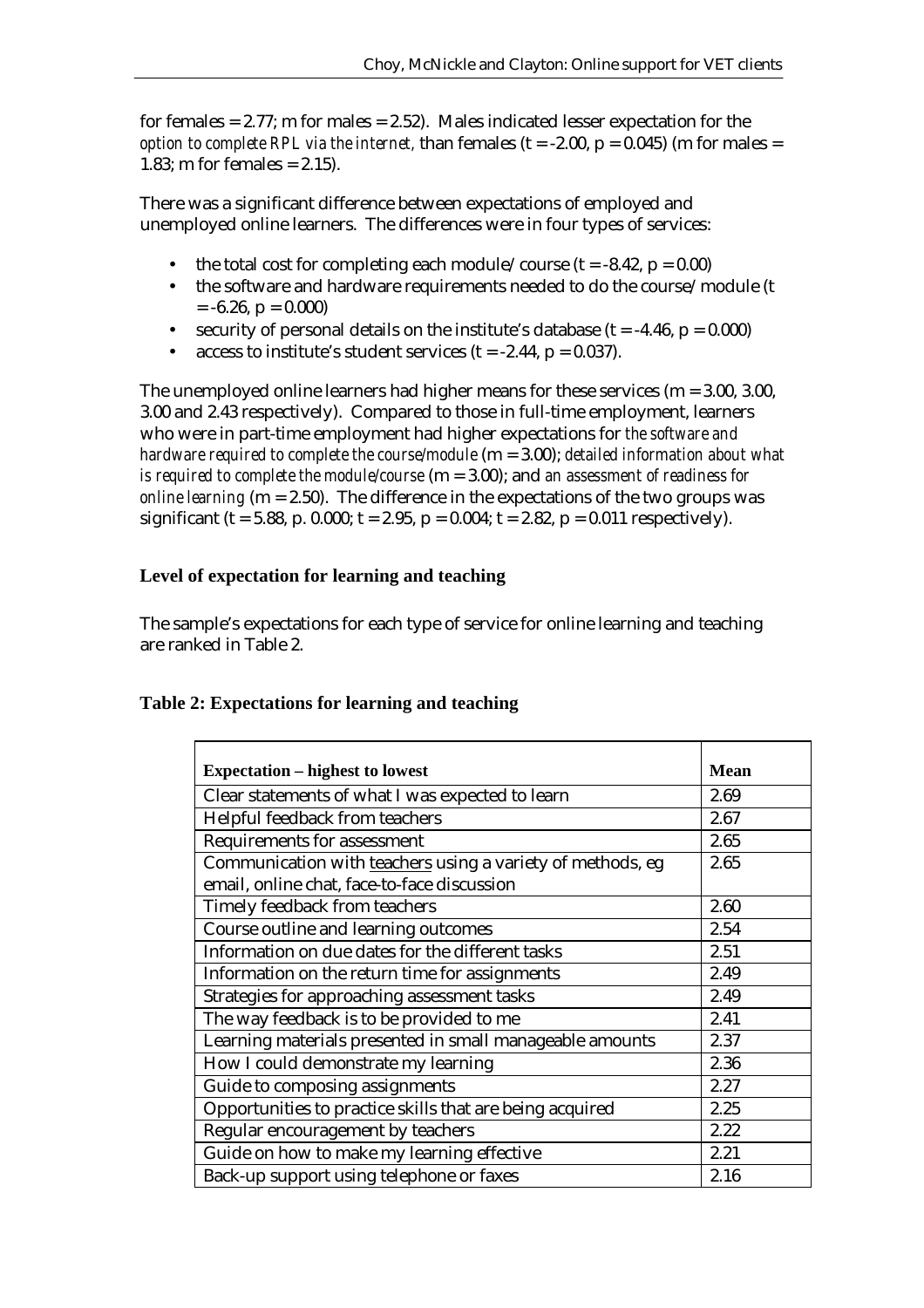for females  $= 2.77$ ; m for males  $= 2.52$ ). Males indicated lesser expectation for the *option to complete RPL via the internet,* than females  $(t = -2.00, p = 0.045)$  (m for males = 1.83; m for females  $= 2.15$ ).

There was a significant difference between expectations of employed and unemployed online learners. The differences were in four types of services:

- the total cost for completing each module/course ( $t = -8.42$ ,  $p = 0.00$ )
- the software and hardware requirements needed to do the course/module (t  $= -6.26, p = 0.000$
- security of personal details on the institute's database  $(t = -4.46, p = 0.000)$
- access to institute's student services  $(t = -2.44, p = 0.037)$ .

The unemployed online learners had higher means for these services (m = 3.00, 3.00, 3.00 and 2.43 respectively). Compared to those in full-time employment, learners who were in part-time employment had higher expectations for *the software and hardware required to complete the course/module* (m = 3.00); *detailed information about what is required to complete the module/course* (m = 3.00); and *an assessment of readiness for online learning* (m = 2.50). The difference in the expectations of the two groups was significant (t = 5.88, p. 0.000; t = 2.95, p = 0.004; t = 2.82, p = 0.011 respectively).

## **Level of expectation for learning and teaching**

The sample's expectations for each type of service for online learning and teaching are ranked in Table 2.

| Table 2: Expectations for learning and teaching |  |
|-------------------------------------------------|--|
|-------------------------------------------------|--|

| <b>Expectation – highest to lowest</b>                     | <b>Mean</b> |
|------------------------------------------------------------|-------------|
| Clear statements of what I was expected to learn           | 2.69        |
| Helpful feedback from teachers                             | 2.67        |
| <b>Requirements for assessment</b>                         | 2.65        |
| Communication with teachers using a variety of methods, eg | 2.65        |
| email, online chat, face-to-face discussion                |             |
| Timely feedback from teachers                              | 2.60        |
| Course outline and learning outcomes                       | 2.54        |
| Information on due dates for the different tasks           | 2.51        |
| Information on the return time for assignments             | 2.49        |
| Strategies for approaching assessment tasks                | 2.49        |
| The way feedback is to be provided to me                   | 2.41        |
| Learning materials presented in small manageable amounts   | 2.37        |
| How I could demonstrate my learning                        | 2.36        |
| Guide to composing assignments                             | 2.27        |
| Opportunities to practice skills that are being acquired   | 2.25        |
| Regular encouragement by teachers                          | 2.22        |
| Guide on how to make my learning effective                 | 2.21        |
| Back-up support using telephone or faxes                   | 2.16        |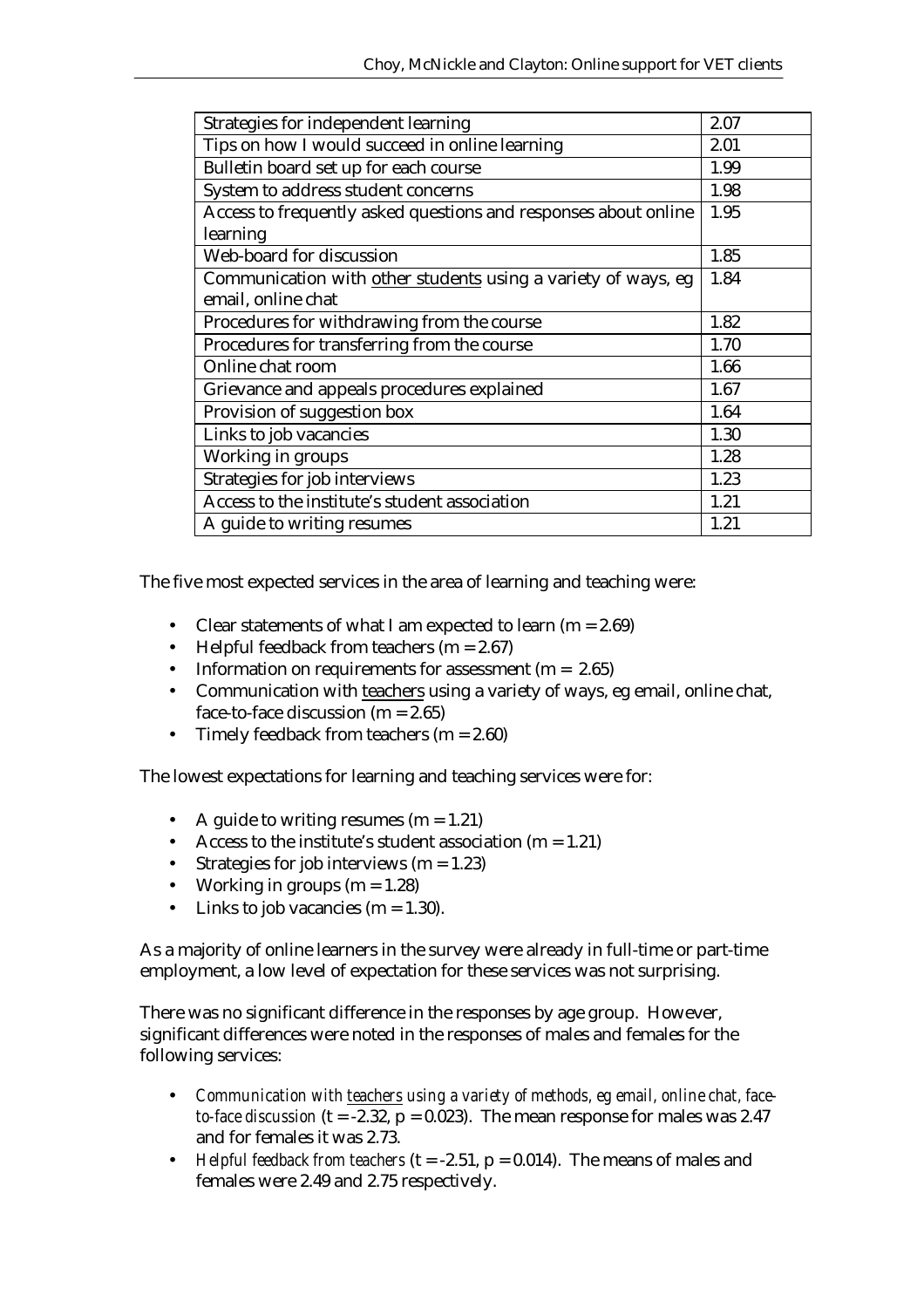| Strategies for independent learning                             | 2.07 |
|-----------------------------------------------------------------|------|
| Tips on how I would succeed in online learning                  | 2.01 |
| Bulletin board set up for each course                           | 1.99 |
| System to address student concerns                              | 1.98 |
| Access to frequently asked questions and responses about online | 1.95 |
| learning                                                        |      |
| Web-board for discussion                                        | 1.85 |
| Communication with other students using a variety of ways, eg   | 1.84 |
| email, online chat                                              |      |
| Procedures for withdrawing from the course                      | 1.82 |
| Procedures for transferring from the course                     | 1.70 |
| Online chat room                                                | 1.66 |
| Grievance and appeals procedures explained                      | 1.67 |
| Provision of suggestion box                                     | 1.64 |
| Links to job vacancies                                          | 1.30 |
| Working in groups                                               | 1.28 |
| Strategies for job interviews                                   | 1.23 |
| Access to the institute's student association                   | 1.21 |
| A guide to writing resumes                                      | 1.21 |

The five most expected services in the area of learning and teaching were:

- Clear statements of what I am expected to learn  $(m = 2.69)$
- Helpful feedback from teachers  $(m = 2.67)$
- Information on requirements for assessment  $(m = 2.65)$
- Communication with teachers using a variety of ways, eg email, online chat, face-to-face discussion  $(m = 2.65)$
- Timely feedback from teachers  $(m = 2.60)$

The lowest expectations for learning and teaching services were for:

- A guide to writing resumes  $(m = 1.21)$
- Access to the institute's student association  $(m = 1.21)$
- Strategies for job interviews  $(m = 1.23)$
- Working in groups  $(m = 1.28)$
- Links to job vacancies  $(m = 1.30)$ .

As a majority of online learners in the survey were already in full-time or part-time employment, a low level of expectation for these services was not surprising.

There was no significant difference in the responses by age group. However, significant differences were noted in the responses of males and females for the following services:

- *Communication with teachers using a variety of methods, eg email, online chat, faceto-face discussion* ( $t = -2.32$ ,  $p = 0.023$ ). The mean response for males was 2.47 and for females it was 2.73.
- *Helpful feedback from teachers* ( $t = -2.51$ ,  $p = 0.014$ ). The means of males and females were 2.49 and 2.75 respectively.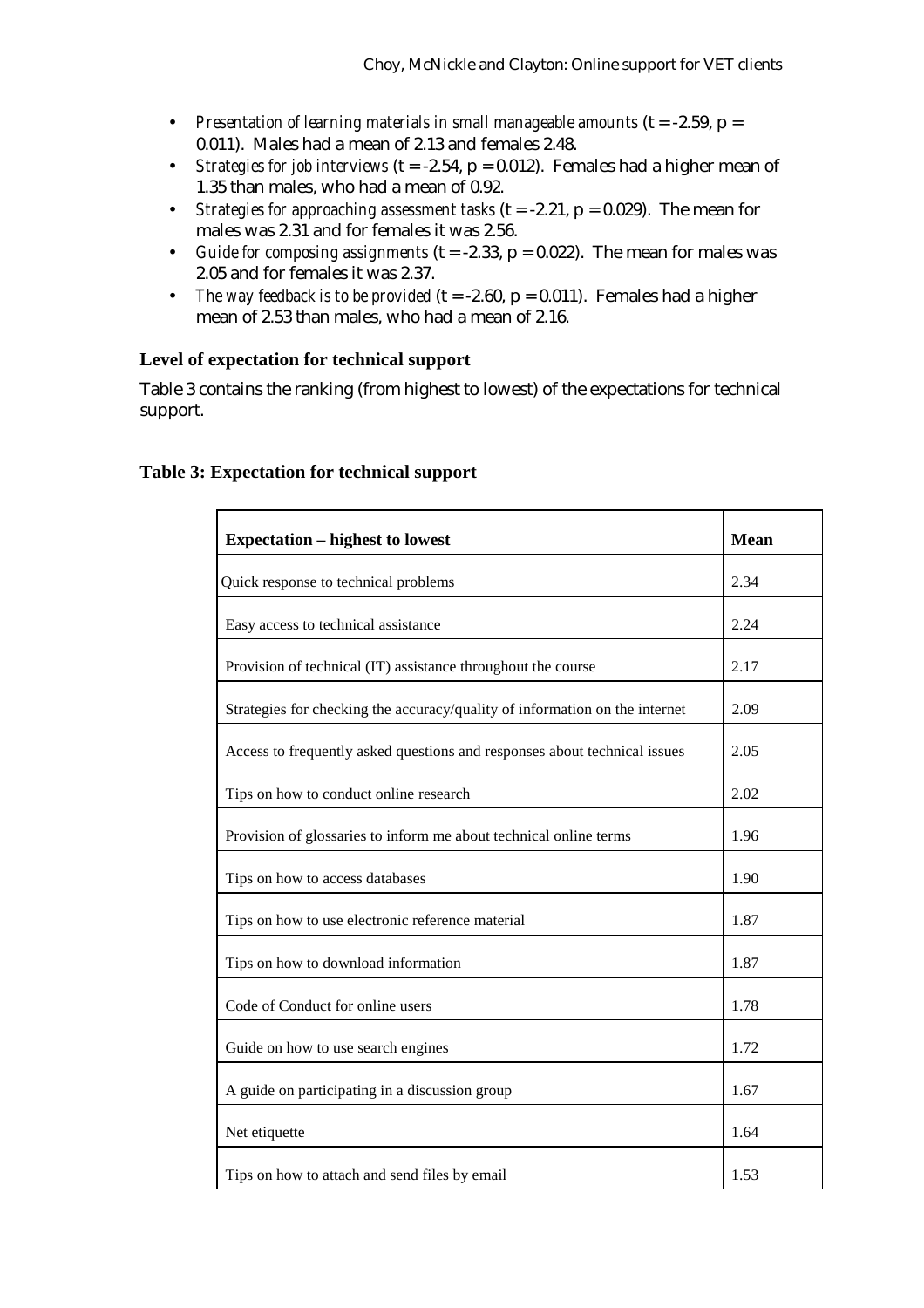- *Presentation of learning materials in small manageable amounts* (t = -2.59, p = 0.011). Males had a mean of 2.13 and females 2.48.
- *Strategies for job interviews* ( $t = -2.54$ ,  $p = 0.012$ ). Females had a higher mean of 1.35 than males, who had a mean of 0.92.
- *Strategies for approaching assessment tasks* (t = -2.21, p = 0.029). The mean for males was 2.31 and for females it was 2.56.
- *Guide for composing assignments*  $(t = -2.33, p = 0.022)$ . The mean for males was 2.05 and for females it was 2.37.
- *The way feedback is to be provided*  $(t = -2.60, p = 0.011)$ . Females had a higher mean of 2.53 than males, who had a mean of 2.16.

## **Level of expectation for technical support**

Table 3 contains the ranking (from highest to lowest) of the expectations for technical support.

| <b>Expectation – highest to lowest</b>                                      | <b>Mean</b>  |
|-----------------------------------------------------------------------------|--------------|
| Quick response to technical problems                                        | 2.34         |
| Easy access to technical assistance                                         | 2.24         |
| Provision of technical (IT) assistance throughout the course                | 2.17         |
| Strategies for checking the accuracy/quality of information on the internet | 2.09         |
| Access to frequently asked questions and responses about technical issues   | 2.05         |
| Tips on how to conduct online research                                      | 2.02<br>1.96 |
| Provision of glossaries to inform me about technical online terms           |              |
| Tips on how to access databases                                             | 1.90         |
| Tips on how to use electronic reference material                            | 1.87         |
| Tips on how to download information                                         | 1.87         |
| Code of Conduct for online users                                            | 1.78         |
| Guide on how to use search engines                                          | 1.72         |
| A guide on participating in a discussion group                              | 1.67         |
| Net etiquette                                                               | 1.64         |
| Tips on how to attach and send files by email                               | 1.53         |

#### **Table 3: Expectation for technical support**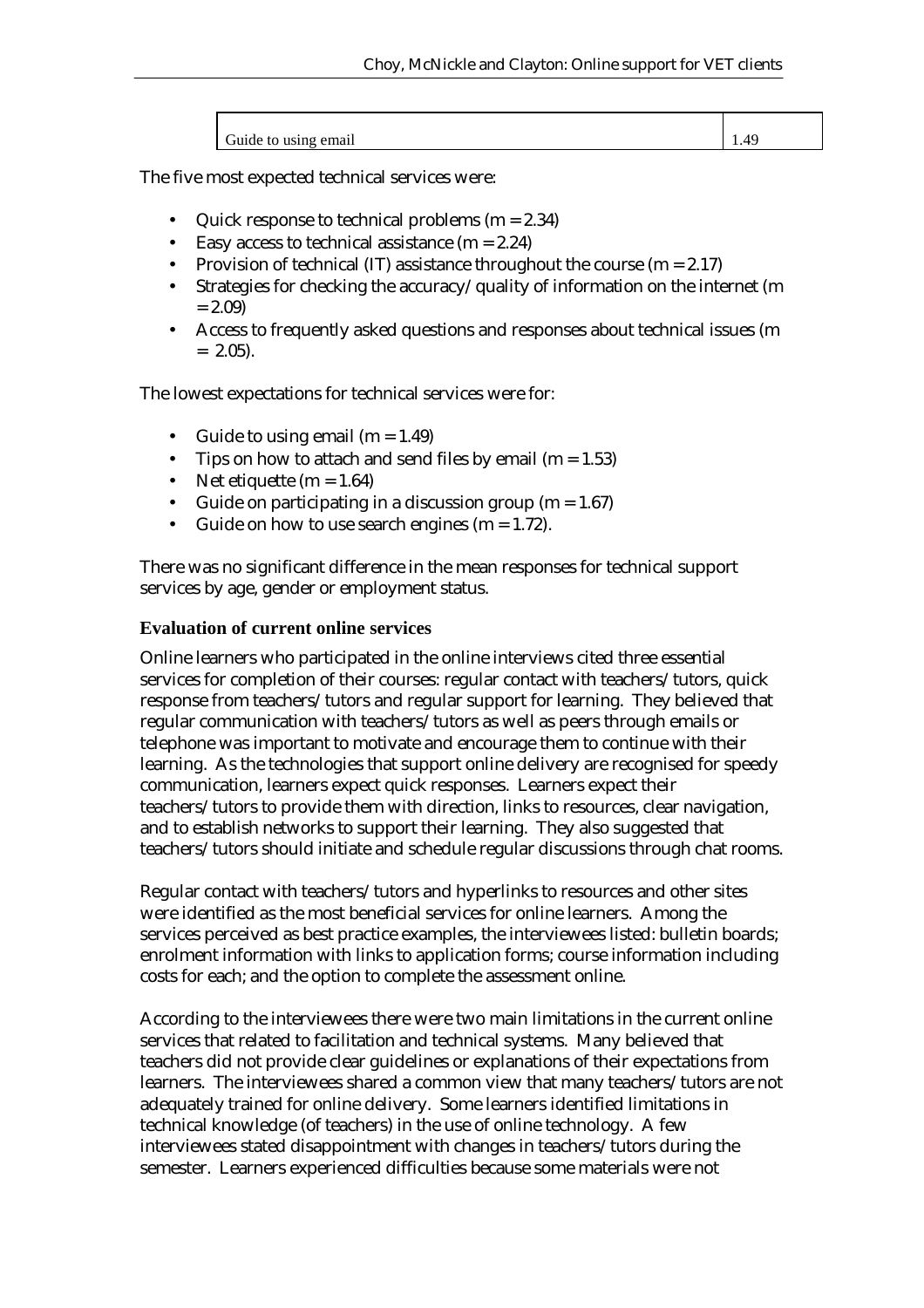| Guide to using email | 1.49 |
|----------------------|------|

The five most expected technical services were:

- Quick response to technical problems  $(m = 2.34)$
- Easy access to technical assistance  $(m = 2.24)$
- Provision of technical (IT) assistance throughout the course  $(m = 2.17)$
- Strategies for checking the accuracy/quality of information on the internet (m  $= 2.09$
- Access to frequently asked questions and responses about technical issues (m  $= 2.05$ ).

The lowest expectations for technical services were for:

- Guide to using email  $(m = 1.49)$
- Tips on how to attach and send files by email (m =  $1.53$ )
- Net etiquette  $(m = 1.64)$
- Guide on participating in a discussion group  $(m = 1.67)$
- Guide on how to use search engines  $(m = 1.72)$ .

There was no significant difference in the mean responses for technical support services by age, gender or employment status.

#### **Evaluation of current online services**

Online learners who participated in the online interviews cited three essential services for completion of their courses: regular contact with teachers/tutors, quick response from teachers/tutors and regular support for learning. They believed that regular communication with teachers/tutors as well as peers through emails or telephone was important to motivate and encourage them to continue with their learning. As the technologies that support online delivery are recognised for speedy communication, learners expect quick responses. Learners expect their teachers/tutors to provide them with direction, links to resources, clear navigation, and to establish networks to support their learning. They also suggested that teachers/tutors should initiate and schedule regular discussions through chat rooms.

Regular contact with teachers/tutors and hyperlinks to resources and other sites were identified as the most beneficial services for online learners. Among the services perceived as best practice examples, the interviewees listed: bulletin boards; enrolment information with links to application forms; course information including costs for each; and the option to complete the assessment online.

According to the interviewees there were two main limitations in the current online services that related to facilitation and technical systems. Many believed that teachers did not provide clear guidelines or explanations of their expectations from learners. The interviewees shared a common view that many teachers/tutors are not adequately trained for online delivery. Some learners identified limitations in technical knowledge (of teachers) in the use of online technology. A few interviewees stated disappointment with changes in teachers/tutors during the semester. Learners experienced difficulties because some materials were not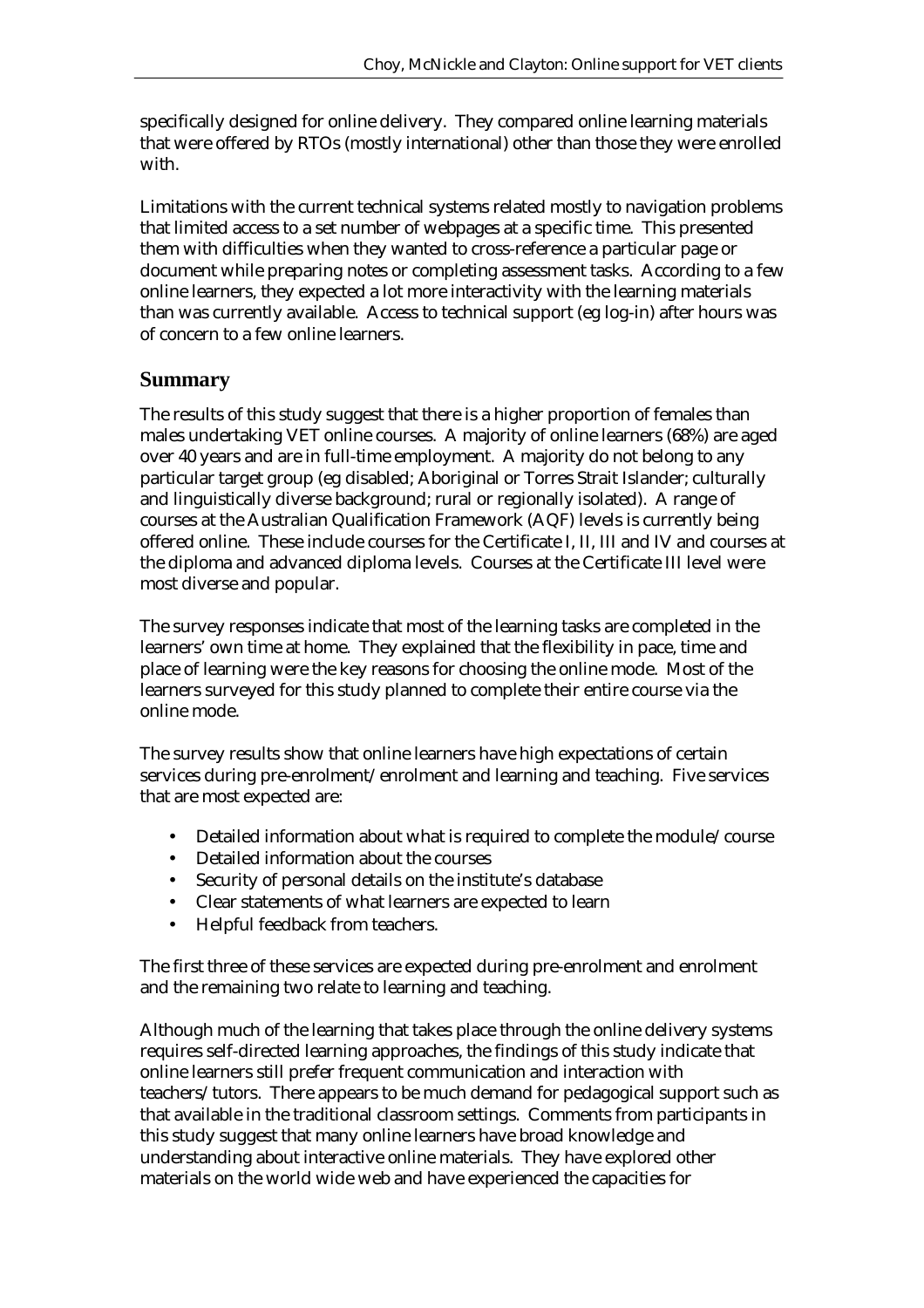specifically designed for online delivery. They compared online learning materials that were offered by RTOs (mostly international) other than those they were enrolled with.

Limitations with the current technical systems related mostly to navigation problems that limited access to a set number of webpages at a specific time. This presented them with difficulties when they wanted to cross-reference a particular page or document while preparing notes or completing assessment tasks. According to a few online learners, they expected a lot more interactivity with the learning materials than was currently available. Access to technical support (eg log-in) after hours was of concern to a few online learners.

## **Summary**

The results of this study suggest that there is a higher proportion of females than males undertaking VET online courses. A majority of online learners (68%) are aged over 40 years and are in full-time employment. A majority do not belong to any particular target group (eg disabled; Aboriginal or Torres Strait Islander; culturally and linguistically diverse background; rural or regionally isolated). A range of courses at the Australian Qualification Framework (AQF) levels is currently being offered online. These include courses for the Certificate I, II, III and IV and courses at the diploma and advanced diploma levels. Courses at the Certificate III level were most diverse and popular.

The survey responses indicate that most of the learning tasks are completed in the learners' own time at home. They explained that the flexibility in pace, time and place of learning were the key reasons for choosing the online mode. Most of the learners surveyed for this study planned to complete their entire course via the online mode.

The survey results show that online learners have high expectations of certain services during pre-enrolment/enrolment and learning and teaching. Five services that are most expected are:

- Detailed information about what is required to complete the module/course
- Detailed information about the courses
- Security of personal details on the institute's database
- Clear statements of what learners are expected to learn
- Helpful feedback from teachers.

The first three of these services are expected during pre-enrolment and enrolment and the remaining two relate to learning and teaching.

Although much of the learning that takes place through the online delivery systems requires self-directed learning approaches, the findings of this study indicate that online learners still prefer frequent communication and interaction with teachers/tutors. There appears to be much demand for pedagogical support such as that available in the traditional classroom settings. Comments from participants in this study suggest that many online learners have broad knowledge and understanding about interactive online materials. They have explored other materials on the world wide web and have experienced the capacities for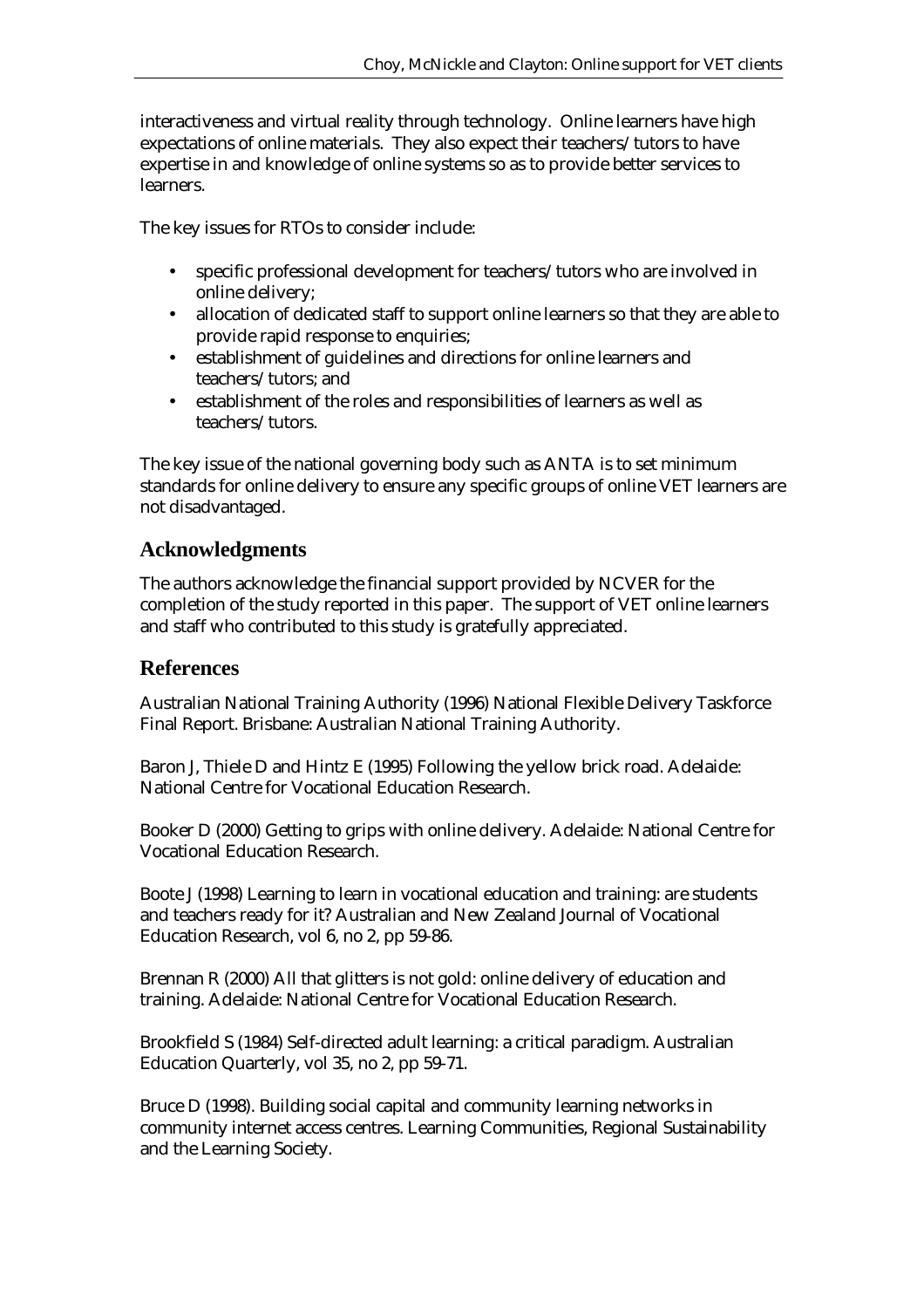interactiveness and virtual reality through technology. Online learners have high expectations of online materials. They also expect their teachers/tutors to have expertise in and knowledge of online systems so as to provide better services to learners.

The key issues for RTOs to consider include:

- specific professional development for teachers/tutors who are involved in online delivery;
- allocation of dedicated staff to support online learners so that they are able to provide rapid response to enquiries;
- establishment of guidelines and directions for online learners and teachers/tutors; and
- establishment of the roles and responsibilities of learners as well as teachers/tutors.

The key issue of the national governing body such as ANTA is to set minimum standards for online delivery to ensure any specific groups of online VET learners are not disadvantaged.

## **Acknowledgments**

The authors acknowledge the financial support provided by NCVER for the completion of the study reported in this paper. The support of VET online learners and staff who contributed to this study is gratefully appreciated.

## **References**

Australian National Training Authority (1996) National Flexible Delivery Taskforce Final Report. Brisbane: Australian National Training Authority.

Baron J, Thiele D and Hintz E (1995) Following the yellow brick road. Adelaide: National Centre for Vocational Education Research.

Booker D (2000) Getting to grips with online delivery. Adelaide: National Centre for Vocational Education Research.

Boote J (1998) Learning to learn in vocational education and training: are students and teachers ready for it? Australian and New Zealand Journal of Vocational Education Research, vol 6, no 2, pp 59-86.

Brennan R (2000) All that glitters is not gold: online delivery of education and training. Adelaide: National Centre for Vocational Education Research.

Brookfield S (1984) Self-directed adult learning: a critical paradigm. Australian Education Quarterly, vol 35, no 2, pp 59-71.

Bruce D (1998). Building social capital and community learning networks in community internet access centres. Learning Communities, Regional Sustainability and the Learning Society.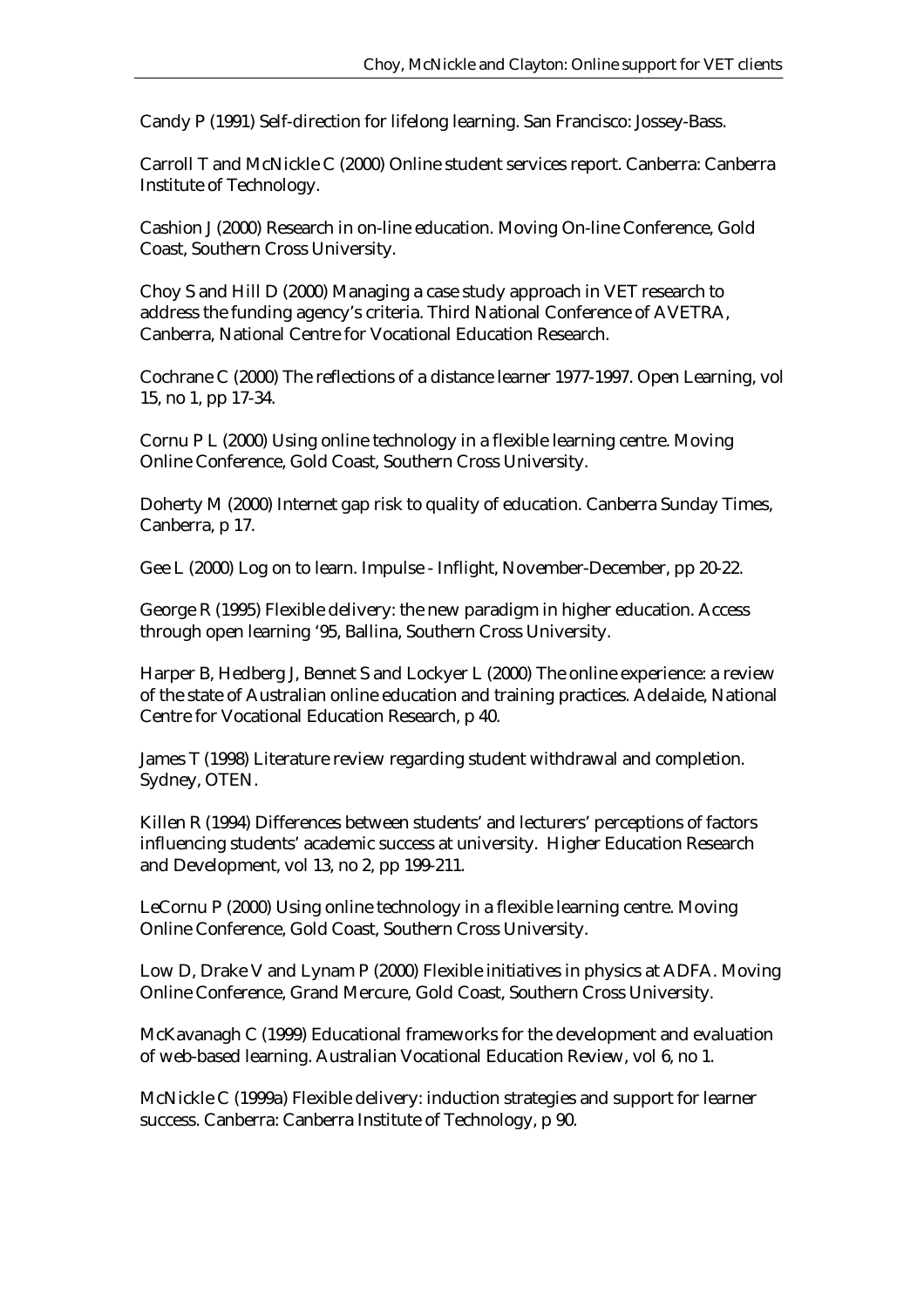Candy P (1991) Self-direction for lifelong learning. San Francisco: Jossey-Bass.

Carroll T and McNickle C (2000) Online student services report. Canberra: Canberra Institute of Technology.

Cashion J (2000) Research in on-line education. Moving On-line Conference, Gold Coast, Southern Cross University.

Choy S and Hill D (2000) Managing a case study approach in VET research to address the funding agency's criteria. Third National Conference of AVETRA, Canberra, National Centre for Vocational Education Research.

Cochrane C (2000) The reflections of a distance learner 1977-1997. Open Learning, vol 15, no 1, pp 17-34.

Cornu P L (2000) Using online technology in a flexible learning centre. Moving Online Conference, Gold Coast, Southern Cross University.

Doherty M (2000) Internet gap risk to quality of education. Canberra Sunday Times, Canberra, p 17.

Gee L (2000) Log on to learn. Impulse - Inflight, November-December, pp 20-22.

George R (1995) Flexible delivery: the new paradigm in higher education. Access through open learning '95, Ballina, Southern Cross University.

Harper B, Hedberg J, Bennet S and Lockyer L (2000) The online experience: a review of the state of Australian online education and training practices. Adelaide, National Centre for Vocational Education Research, p 40.

James T (1998) Literature review regarding student withdrawal and completion. Sydney, OTEN.

Killen R (1994) Differences between students' and lecturers' perceptions of factors influencing students' academic success at university. Higher Education Research and Development, vol 13, no 2, pp 199-211.

LeCornu P (2000) Using online technology in a flexible learning centre. Moving Online Conference, Gold Coast, Southern Cross University.

Low D, Drake V and Lynam P (2000) Flexible initiatives in physics at ADFA. Moving Online Conference, Grand Mercure, Gold Coast, Southern Cross University.

McKavanagh C (1999) Educational frameworks for the development and evaluation of web-based learning. Australian Vocational Education Review, vol 6, no 1.

McNickle C (1999a) Flexible delivery: induction strategies and support for learner success. Canberra: Canberra Institute of Technology, p 90.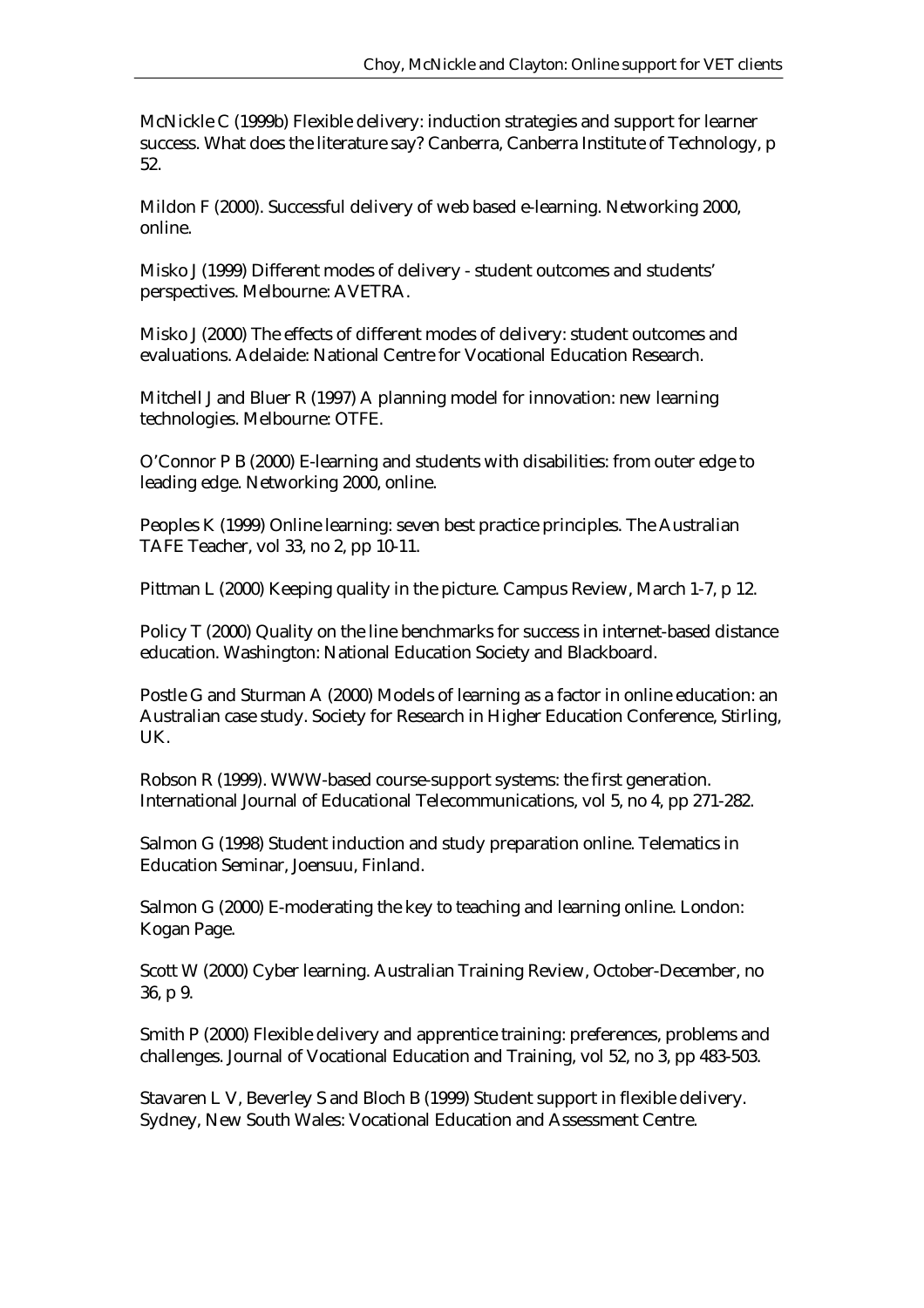McNickle C (1999b) Flexible delivery: induction strategies and support for learner success. What does the literature say? Canberra, Canberra Institute of Technology, p 52.

Mildon F (2000). Successful delivery of web based e-learning. Networking 2000, online.

Misko J (1999) Different modes of delivery - student outcomes and students' perspectives. Melbourne: AVETRA.

Misko J (2000) The effects of different modes of delivery: student outcomes and evaluations. Adelaide: National Centre for Vocational Education Research.

Mitchell J and Bluer R (1997) A planning model for innovation: new learning technologies. Melbourne: OTFE.

O'Connor P B (2000) E-learning and students with disabilities: from outer edge to leading edge. Networking 2000, online.

Peoples K (1999) Online learning: seven best practice principles. The Australian TAFE Teacher, vol 33, no 2, pp 10-11.

Pittman L (2000) Keeping quality in the picture. Campus Review, March 1-7, p 12.

Policy T (2000) Quality on the line benchmarks for success in internet-based distance education. Washington: National Education Society and Blackboard.

Postle G and Sturman A (2000) Models of learning as a factor in online education: an Australian case study. Society for Research in Higher Education Conference, Stirling, UK.

Robson R (1999). WWW-based course-support systems: the first generation. International Journal of Educational Telecommunications, vol 5, no 4, pp 271-282.

Salmon G (1998) Student induction and study preparation online. Telematics in Education Seminar, Joensuu, Finland.

Salmon G (2000) E-moderating the key to teaching and learning online. London: Kogan Page.

Scott W (2000) Cyber learning. Australian Training Review, October-December, no 36, p 9.

Smith P (2000) Flexible delivery and apprentice training: preferences, problems and challenges. Journal of Vocational Education and Training, vol 52, no 3, pp 483-503.

Stavaren L V, Beverley S and Bloch B (1999) Student support in flexible delivery. Sydney, New South Wales: Vocational Education and Assessment Centre.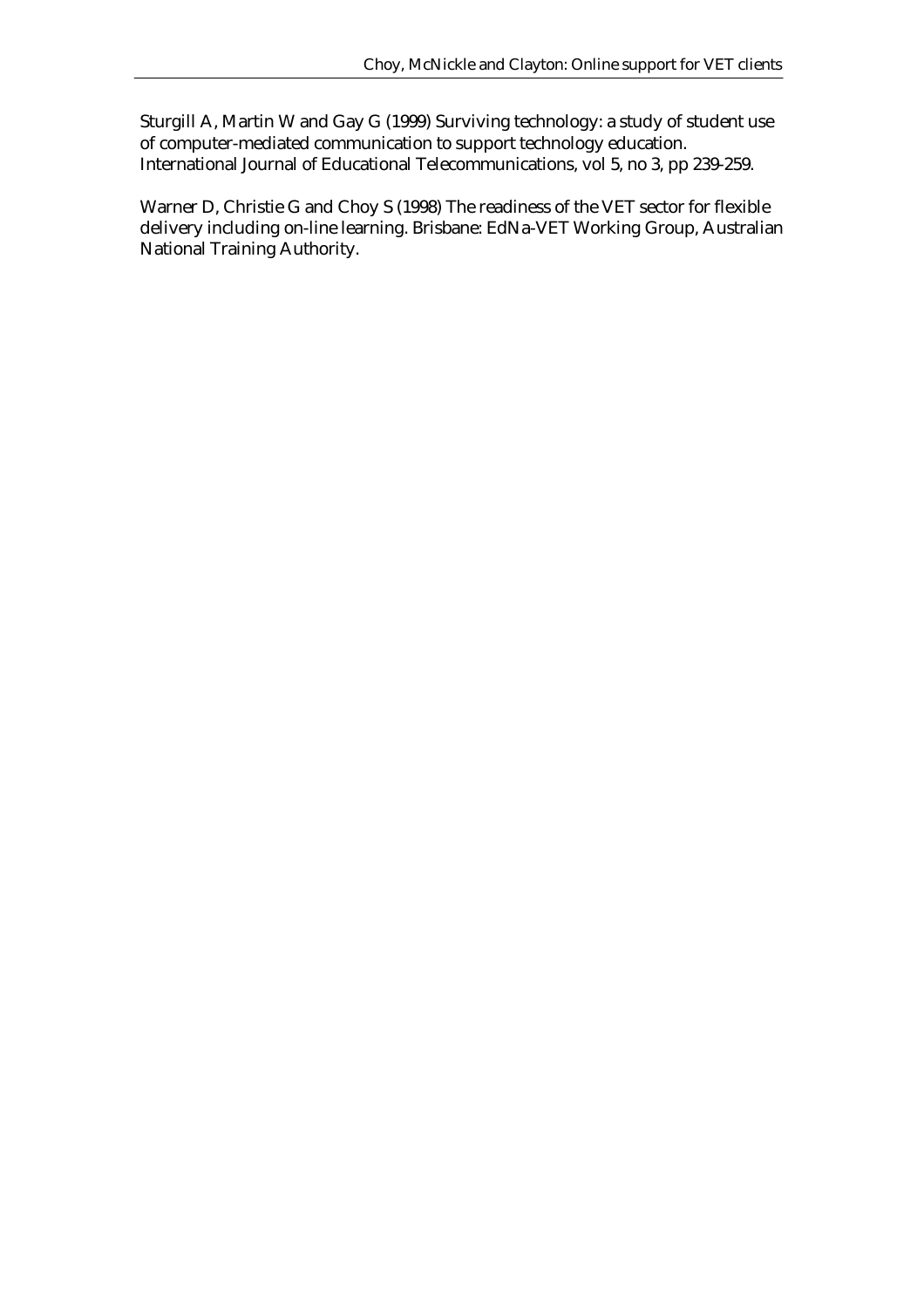Sturgill A, Martin W and Gay G (1999) Surviving technology: a study of student use of computer-mediated communication to support technology education. International Journal of Educational Telecommunications, vol 5, no 3, pp 239-259.

Warner D, Christie G and Choy S (1998) The readiness of the VET sector for flexible delivery including on-line learning. Brisbane: EdNa-VET Working Group, Australian National Training Authority.